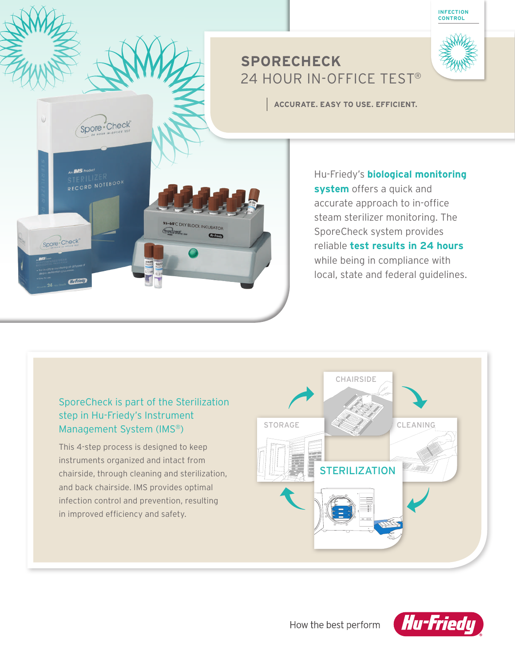# **SPORECHECK**  24 HOUR IN-OFFICE TEST®

**ACCURATE. EASY TO USE. EFFICIENT.**

Hu-Friedy's **biological monitoring system** offers a quick and accurate approach to in-office steam sterilizer monitoring. The SporeCheck system provides reliable **test results in 24 hours** while being in compliance with local, state and federal guidelines.

**INFECTION CONTROL**

# SporeCheck is part of the Sterilization step in Hu-Friedy's Instrument Management System (IMS®)

 $\sqrt{ }$ 

 $\blacktriangledown$ 

**55-60°C DRY BLOCK INCUBATOR** 

 $C$  and  $C$ 

Spore Check

Spore Check

This 4-step process is designed to keep instruments organized and intact from chairside, through cleaning and sterilization, and back chairside. IMS provides optimal infection control and prevention, resulting in improved efficiency and safety.





How the best perform